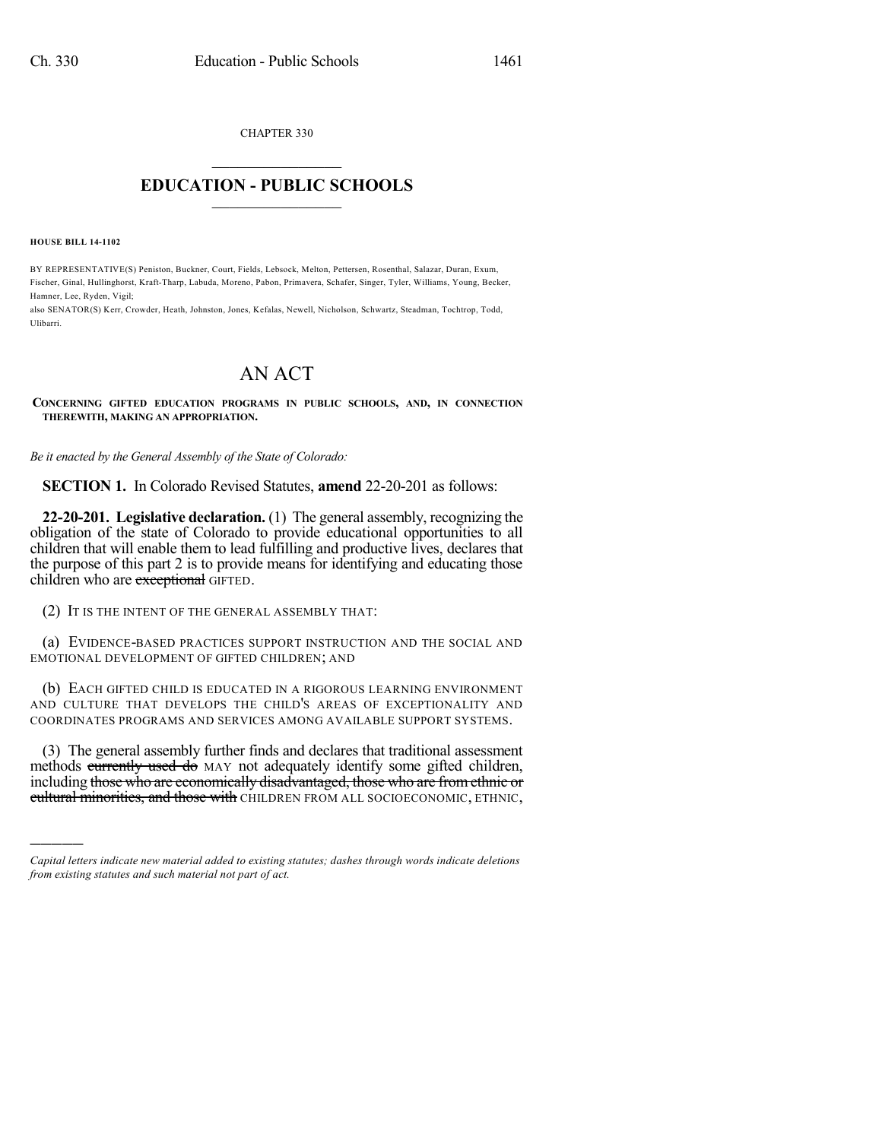CHAPTER 330

## $\overline{\phantom{a}}$  . The set of the set of the set of the set of the set of the set of the set of the set of the set of the set of the set of the set of the set of the set of the set of the set of the set of the set of the set o **EDUCATION - PUBLIC SCHOOLS**  $\_$   $\_$   $\_$   $\_$   $\_$   $\_$   $\_$   $\_$   $\_$

**HOUSE BILL 14-1102**

)))))

BY REPRESENTATIVE(S) Peniston, Buckner, Court, Fields, Lebsock, Melton, Pettersen, Rosenthal, Salazar, Duran, Exum, Fischer, Ginal, Hullinghorst, Kraft-Tharp, Labuda, Moreno, Pabon, Primavera, Schafer, Singer, Tyler, Williams, Young, Becker, Hamner, Lee, Ryden, Vigil;

also SENATOR(S) Kerr, Crowder, Heath, Johnston, Jones, Kefalas, Newell, Nicholson, Schwartz, Steadman, Tochtrop, Todd, Ulibarri.

## AN ACT

**CONCERNING GIFTED EDUCATION PROGRAMS IN PUBLIC SCHOOLS, AND, IN CONNECTION THEREWITH, MAKING AN APPROPRIATION.**

*Be it enacted by the General Assembly of the State of Colorado:*

**SECTION 1.** In Colorado Revised Statutes, **amend** 22-20-201 as follows:

**22-20-201. Legislative declaration.** (1) The general assembly, recognizing the obligation of the state of Colorado to provide educational opportunities to all children that will enable them to lead fulfilling and productive lives, declares that the purpose of this part 2 is to provide means for identifying and educating those children who are exceptional GIFTED.

(2) IT IS THE INTENT OF THE GENERAL ASSEMBLY THAT:

(a) EVIDENCE-BASED PRACTICES SUPPORT INSTRUCTION AND THE SOCIAL AND EMOTIONAL DEVELOPMENT OF GIFTED CHILDREN; AND

(b) EACH GIFTED CHILD IS EDUCATED IN A RIGOROUS LEARNING ENVIRONMENT AND CULTURE THAT DEVELOPS THE CHILD'S AREAS OF EXCEPTIONALITY AND COORDINATES PROGRAMS AND SERVICES AMONG AVAILABLE SUPPORT SYSTEMS.

(3) The general assembly further finds and declares that traditional assessment methods currently used do MAY not adequately identify some gifted children, including those who are economically disadvantaged, those who are fromethnic or cultural minorities, and those with CHILDREN FROM ALL SOCIOECONOMIC, ETHNIC,

*Capital letters indicate new material added to existing statutes; dashes through words indicate deletions from existing statutes and such material not part of act.*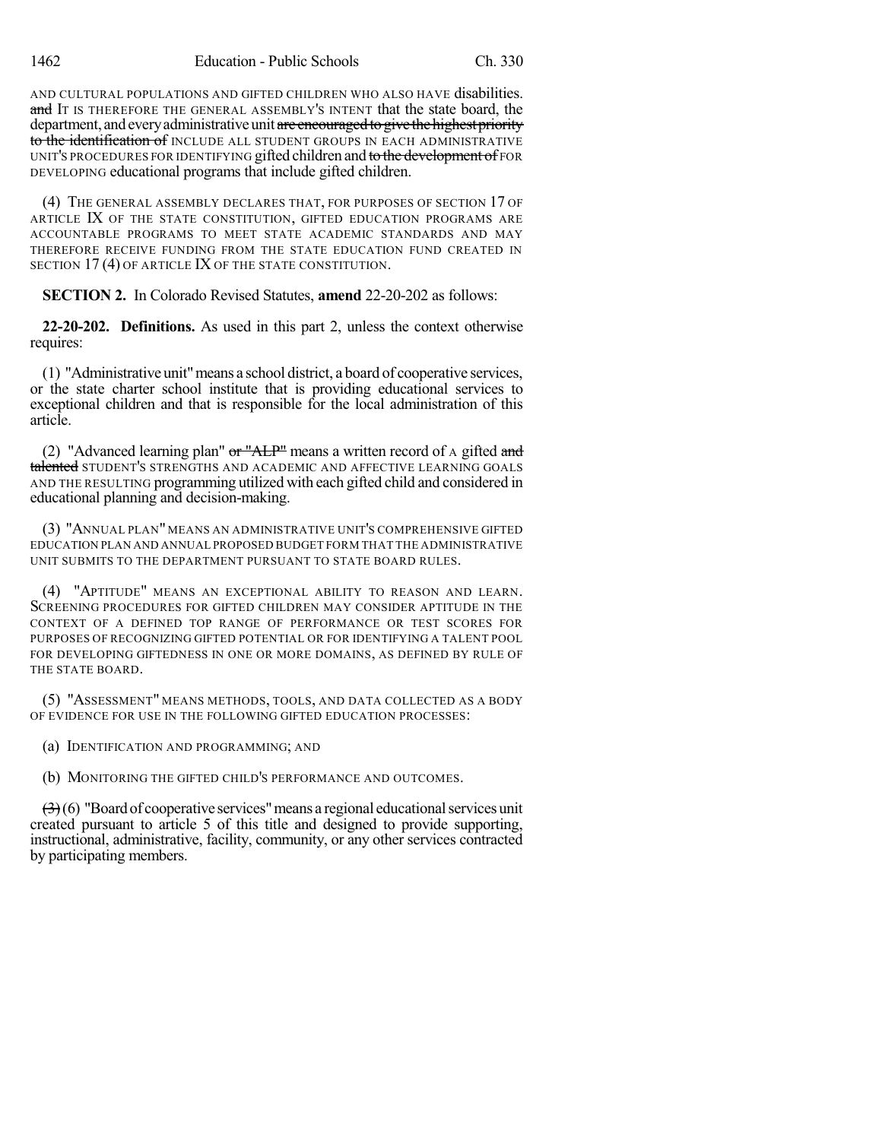AND CULTURAL POPULATIONS AND GIFTED CHILDREN WHO ALSO HAVE disabilities. and IT IS THEREFORE THE GENERAL ASSEMBLY'S INTENT that the state board, the department, and every administrative unit are encouraged to give the highest priority to the identification of INCLUDE ALL STUDENT GROUPS IN EACH ADMINISTRATIVE UNIT'S PROCEDURES FOR IDENTIFYING gifted children and to the development of FOR DEVELOPING educational programs that include gifted children.

(4) THE GENERAL ASSEMBLY DECLARES THAT, FOR PURPOSES OF SECTION 17 OF ARTICLE IX OF THE STATE CONSTITUTION, GIFTED EDUCATION PROGRAMS ARE ACCOUNTABLE PROGRAMS TO MEET STATE ACADEMIC STANDARDS AND MAY THEREFORE RECEIVE FUNDING FROM THE STATE EDUCATION FUND CREATED IN SECTION 17(4) OF ARTICLE IX OF THE STATE CONSTITUTION.

**SECTION 2.** In Colorado Revised Statutes, **amend** 22-20-202 as follows:

**22-20-202. Definitions.** As used in this part 2, unless the context otherwise requires:

(1) "Administrative unit"means a school district, a board of cooperative services, or the state charter school institute that is providing educational services to exceptional children and that is responsible for the local administration of this article.

(2) "Advanced learning plan"  $or$  "ALP" means a written record of A gifted and talented STUDENT'S STRENGTHS AND ACADEMIC AND AFFECTIVE LEARNING GOALS AND THE RESULTING programming utilized with each gifted child and considered in educational planning and decision-making.

(3) "ANNUAL PLAN" MEANS AN ADMINISTRATIVE UNIT'S COMPREHENSIVE GIFTED EDUCATION PLAN AND ANNUAL PROPOSED BUDGET FORM THAT THE ADMINISTRATIVE UNIT SUBMITS TO THE DEPARTMENT PURSUANT TO STATE BOARD RULES.

(4) "APTITUDE" MEANS AN EXCEPTIONAL ABILITY TO REASON AND LEARN. SCREENING PROCEDURES FOR GIFTED CHILDREN MAY CONSIDER APTITUDE IN THE CONTEXT OF A DEFINED TOP RANGE OF PERFORMANCE OR TEST SCORES FOR PURPOSES OF RECOGNIZING GIFTED POTENTIAL OR FOR IDENTIFYING A TALENT POOL FOR DEVELOPING GIFTEDNESS IN ONE OR MORE DOMAINS, AS DEFINED BY RULE OF THE STATE BOARD.

(5) "ASSESSMENT" MEANS METHODS, TOOLS, AND DATA COLLECTED AS A BODY OF EVIDENCE FOR USE IN THE FOLLOWING GIFTED EDUCATION PROCESSES:

(a) IDENTIFICATION AND PROGRAMMING; AND

(b) MONITORING THE GIFTED CHILD'S PERFORMANCE AND OUTCOMES.

 $\left(\frac{3}{2}\right)$ (6) "Board of cooperative services" means a regional educational services unit created pursuant to article 5 of this title and designed to provide supporting, instructional, administrative, facility, community, or any other services contracted by participating members.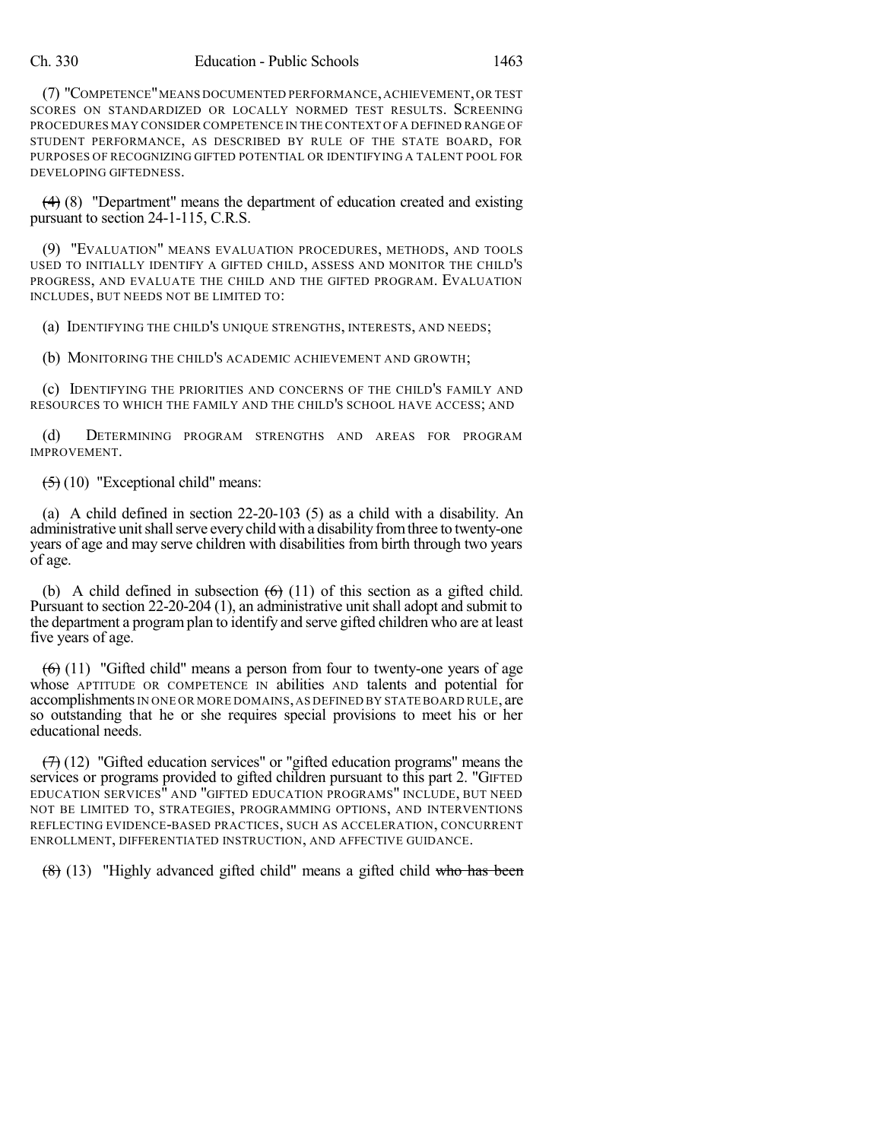(7) "COMPETENCE"MEANS DOCUMENTED PERFORMANCE,ACHIEVEMENT,OR TEST SCORES ON STANDARDIZED OR LOCALLY NORMED TEST RESULTS. SCREENING PROCEDURES MAY CONSIDER COMPETENCE IN THE CONTEXT OF A DEFINED RANGE OF STUDENT PERFORMANCE, AS DESCRIBED BY RULE OF THE STATE BOARD, FOR PURPOSES OF RECOGNIZING GIFTED POTENTIAL OR IDENTIFYING A TALENT POOL FOR DEVELOPING GIFTEDNESS.

 $(4)$  (8) "Department" means the department of education created and existing pursuant to section 24-1-115, C.R.S.

(9) "EVALUATION" MEANS EVALUATION PROCEDURES, METHODS, AND TOOLS USED TO INITIALLY IDENTIFY A GIFTED CHILD, ASSESS AND MONITOR THE CHILD'S PROGRESS, AND EVALUATE THE CHILD AND THE GIFTED PROGRAM. EVALUATION INCLUDES, BUT NEEDS NOT BE LIMITED TO:

(a) IDENTIFYING THE CHILD'S UNIQUE STRENGTHS, INTERESTS, AND NEEDS;

(b) MONITORING THE CHILD'S ACADEMIC ACHIEVEMENT AND GROWTH;

(c) IDENTIFYING THE PRIORITIES AND CONCERNS OF THE CHILD'S FAMILY AND RESOURCES TO WHICH THE FAMILY AND THE CHILD'S SCHOOL HAVE ACCESS; AND

(d) DETERMINING PROGRAM STRENGTHS AND AREAS FOR PROGRAM IMPROVEMENT.

 $(5)(10)$  "Exceptional child" means:

(a) A child defined in section 22-20-103 (5) as a child with a disability. An administrative unit shall serve every child with a disability from three to twenty-one years of age and may serve children with disabilities from birth through two years of age.

(b) A child defined in subsection  $(6)$  (11) of this section as a gifted child. Pursuant to section 22-20-204 (1), an administrative unit shall adopt and submit to the department a programplan to identify and serve gifted children who are at least five years of age.

 $(6)$  (11) "Gifted child" means a person from four to twenty-one years of age whose APTITUDE OR COMPETENCE IN abilities AND talents and potential for accomplishments IN ONE OR MORE DOMAINS, AS DEFINED BY STATE BOARD RULE, are so outstanding that he or she requires special provisions to meet his or her educational needs.

 $(7)$  (12) "Gifted education services" or "gifted education programs" means the services or programs provided to gifted children pursuant to this part 2. "GIFTED EDUCATION SERVICES" AND "GIFTED EDUCATION PROGRAMS" INCLUDE, BUT NEED NOT BE LIMITED TO, STRATEGIES, PROGRAMMING OPTIONS, AND INTERVENTIONS REFLECTING EVIDENCE-BASED PRACTICES, SUCH AS ACCELERATION, CONCURRENT ENROLLMENT, DIFFERENTIATED INSTRUCTION, AND AFFECTIVE GUIDANCE.

(8) (13) "Highly advanced gifted child" means a gifted child who has been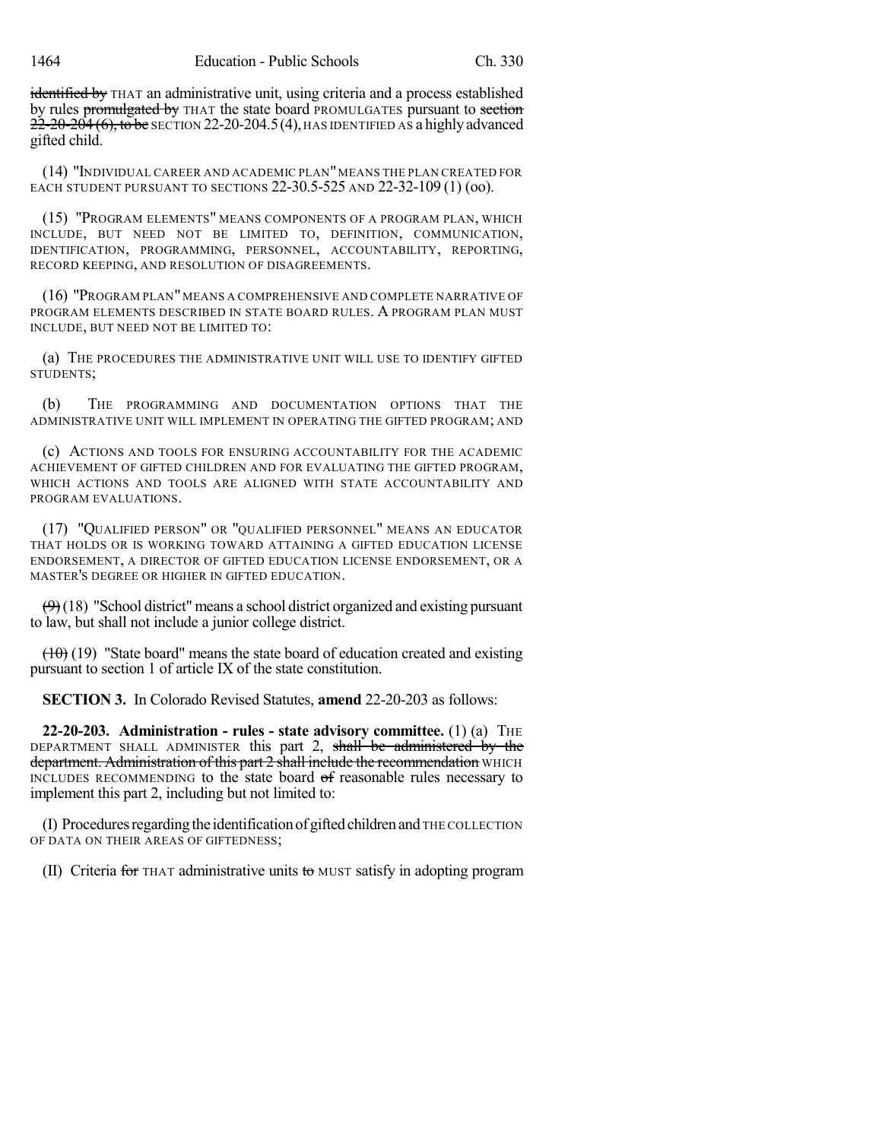identified by THAT an administrative unit, using criteria and a process established by rules promulgated by THAT the state board PROMULGATES pursuant to section  $22-20-204$  (6), to be SECTION 22-20-204.5(4), HAS IDENTIFIED AS a highly advanced gifted child.

(14) "INDIVIDUAL CAREER AND ACADEMIC PLAN"MEANS THE PLAN CREATED FOR EACH STUDENT PURSUANT TO SECTIONS 22-30.5-525 AND 22-32-109 (1) (oo).

(15) "PROGRAM ELEMENTS" MEANS COMPONENTS OF A PROGRAM PLAN, WHICH INCLUDE, BUT NEED NOT BE LIMITED TO, DEFINITION, COMMUNICATION, IDENTIFICATION, PROGRAMMING, PERSONNEL, ACCOUNTABILITY, REPORTING, RECORD KEEPING, AND RESOLUTION OF DISAGREEMENTS.

(16) "PROGRAM PLAN"MEANS A COMPREHENSIVE AND COMPLETE NARRATIVE OF PROGRAM ELEMENTS DESCRIBED IN STATE BOARD RULES. A PROGRAM PLAN MUST INCLUDE, BUT NEED NOT BE LIMITED TO:

(a) THE PROCEDURES THE ADMINISTRATIVE UNIT WILL USE TO IDENTIFY GIFTED STUDENTS;

(b) THE PROGRAMMING AND DOCUMENTATION OPTIONS THAT THE ADMINISTRATIVE UNIT WILL IMPLEMENT IN OPERATING THE GIFTED PROGRAM; AND

(c) ACTIONS AND TOOLS FOR ENSURING ACCOUNTABILITY FOR THE ACADEMIC ACHIEVEMENT OF GIFTED CHILDREN AND FOR EVALUATING THE GIFTED PROGRAM, WHICH ACTIONS AND TOOLS ARE ALIGNED WITH STATE ACCOUNTABILITY AND PROGRAM EVALUATIONS.

(17) "QUALIFIED PERSON" OR "QUALIFIED PERSONNEL" MEANS AN EDUCATOR THAT HOLDS OR IS WORKING TOWARD ATTAINING A GIFTED EDUCATION LICENSE ENDORSEMENT, A DIRECTOR OF GIFTED EDUCATION LICENSE ENDORSEMENT, OR A MASTER'S DEGREE OR HIGHER IN GIFTED EDUCATION.

 $(9)$ (18) "School district" means a school district organized and existing pursuant to law, but shall not include a junior college district.

 $(10)(19)$  "State board" means the state board of education created and existing pursuant to section 1 of article IX of the state constitution.

**SECTION 3.** In Colorado Revised Statutes, **amend** 22-20-203 as follows:

**22-20-203. Administration - rules - state advisory committee.** (1) (a) THE DEPARTMENT SHALL ADMINISTER this part 2, shall be administered by the department. Administration of this part 2 shall include the recommendation WHICH INCLUDES RECOMMENDING to the state board of reasonable rules necessary to implement this part 2, including but not limited to:

(I) Procedures regarding the identification of gifted children and THE COLLECTION OF DATA ON THEIR AREAS OF GIFTEDNESS;

(II) Criteria for THAT administrative units to MUST satisfy in adopting program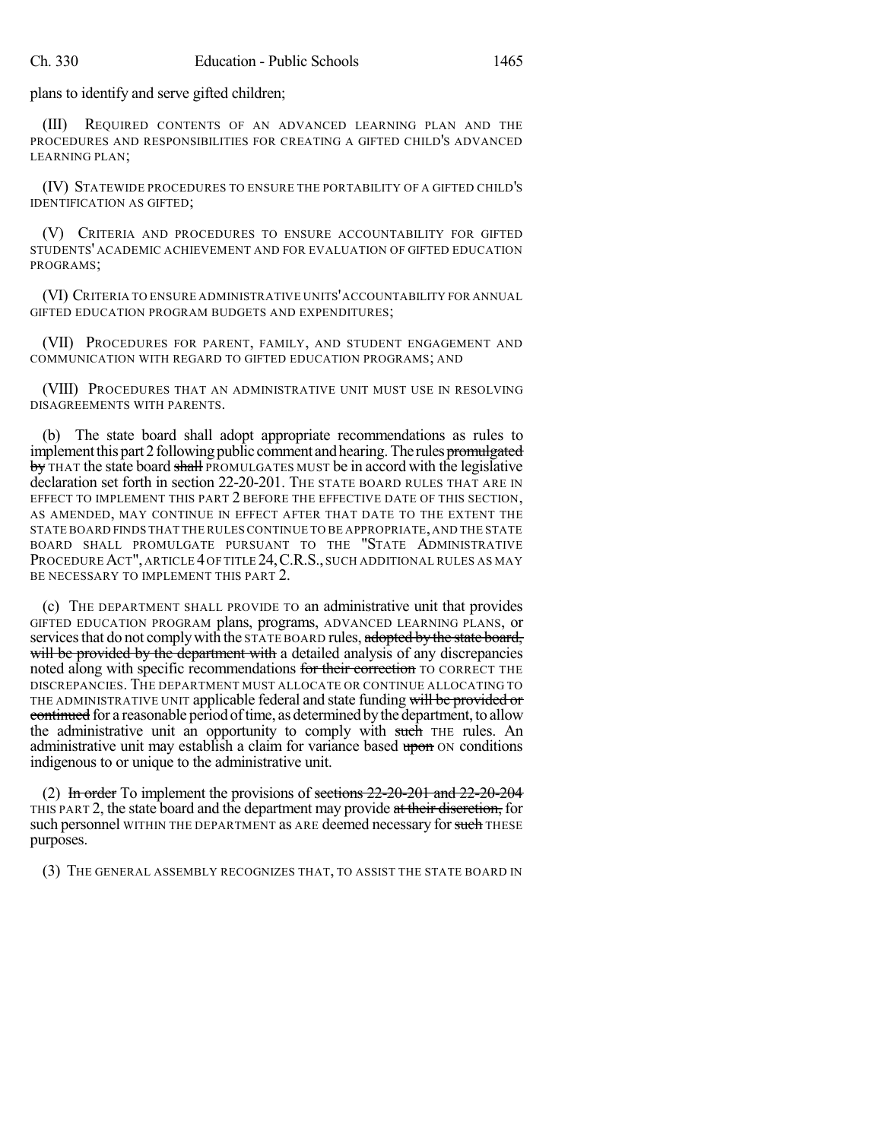plans to identify and serve gifted children;

(III) REQUIRED CONTENTS OF AN ADVANCED LEARNING PLAN AND THE PROCEDURES AND RESPONSIBILITIES FOR CREATING A GIFTED CHILD'S ADVANCED LEARNING PLAN;

(IV) STATEWIDE PROCEDURES TO ENSURE THE PORTABILITY OF A GIFTED CHILD'S IDENTIFICATION AS GIFTED;

(V) CRITERIA AND PROCEDURES TO ENSURE ACCOUNTABILITY FOR GIFTED STUDENTS' ACADEMIC ACHIEVEMENT AND FOR EVALUATION OF GIFTED EDUCATION PROGRAMS;

(VI) CRITERIA TO ENSURE ADMINISTRATIVE UNITS'ACCOUNTABILITY FOR ANNUAL GIFTED EDUCATION PROGRAM BUDGETS AND EXPENDITURES;

(VII) PROCEDURES FOR PARENT, FAMILY, AND STUDENT ENGAGEMENT AND COMMUNICATION WITH REGARD TO GIFTED EDUCATION PROGRAMS; AND

(VIII) PROCEDURES THAT AN ADMINISTRATIVE UNIT MUST USE IN RESOLVING DISAGREEMENTS WITH PARENTS.

(b) The state board shall adopt appropriate recommendations as rules to implement this part 2 following public comment and hearing. The rules promulgated by THAT the state board shall PROMULGATES MUST be in accord with the legislative declaration set forth in section 22-20-201. THE STATE BOARD RULES THAT ARE IN EFFECT TO IMPLEMENT THIS PART 2 BEFORE THE EFFECTIVE DATE OF THIS SECTION, AS AMENDED, MAY CONTINUE IN EFFECT AFTER THAT DATE TO THE EXTENT THE STATE BOARD FINDS THAT THE RULES CONTINUE TO BE APPROPRIATE,AND THE STATE BOARD SHALL PROMULGATE PURSUANT TO THE "STATE ADMINISTRATIVE PROCEDURE ACT", ARTICLE 4 OF TITLE 24, C.R.S., SUCH ADDITIONAL RULES AS MAY BE NECESSARY TO IMPLEMENT THIS PART 2.

(c) THE DEPARTMENT SHALL PROVIDE TO an administrative unit that provides GIFTED EDUCATION PROGRAM plans, programs, ADVANCED LEARNING PLANS, or services that do not comply with the STATE BOARD rules, adopted by the state board, will be provided by the department with a detailed analysis of any discrepancies noted along with specific recommendations for their correction TO CORRECT THE DISCREPANCIES. THE DEPARTMENT MUST ALLOCATE OR CONTINUE ALLOCATING TO THE ADMINISTRATIVE UNIT applicable federal and state funding will be provided or continued for a reasonable period of time, as determined by the department, to allow the administrative unit an opportunity to comply with such THE rules. An administrative unit may establish a claim for variance based upon ON conditions indigenous to or unique to the administrative unit.

(2) In order To implement the provisions of sections  $22\text{-}20\text{-}201$  and  $22\text{-}20\text{-}204$ THIS PART 2, the state board and the department may provide at their discretion, for such personnel WITHIN THE DEPARTMENT as ARE deemed necessary for such THESE purposes.

(3) THE GENERAL ASSEMBLY RECOGNIZES THAT, TO ASSIST THE STATE BOARD IN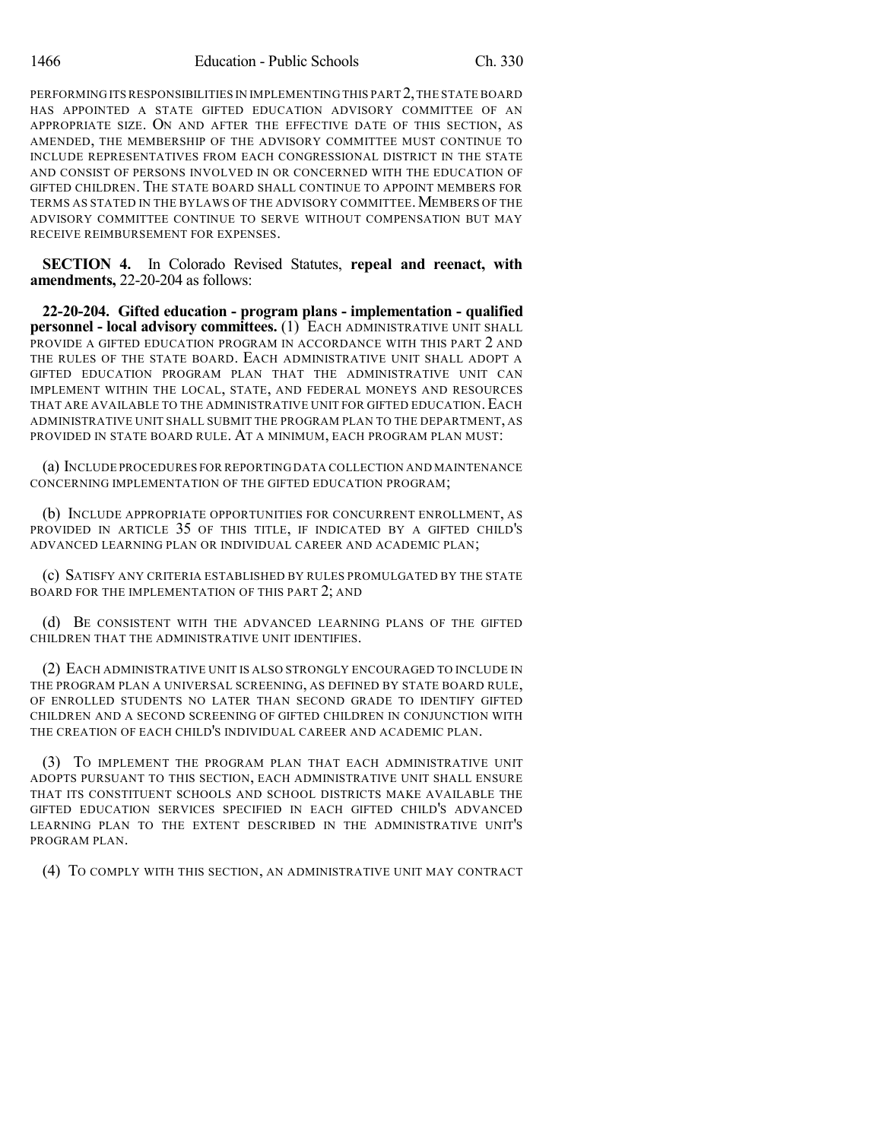PERFORMING ITS RESPONSIBILITIES IN IMPLEMENTING THIS PART 2,THE STATE BOARD HAS APPOINTED A STATE GIFTED EDUCATION ADVISORY COMMITTEE OF AN APPROPRIATE SIZE. ON AND AFTER THE EFFECTIVE DATE OF THIS SECTION, AS AMENDED, THE MEMBERSHIP OF THE ADVISORY COMMITTEE MUST CONTINUE TO INCLUDE REPRESENTATIVES FROM EACH CONGRESSIONAL DISTRICT IN THE STATE AND CONSIST OF PERSONS INVOLVED IN OR CONCERNED WITH THE EDUCATION OF GIFTED CHILDREN. THE STATE BOARD SHALL CONTINUE TO APPOINT MEMBERS FOR TERMS AS STATED IN THE BYLAWS OF THE ADVISORY COMMITTEE. MEMBERS OF THE ADVISORY COMMITTEE CONTINUE TO SERVE WITHOUT COMPENSATION BUT MAY RECEIVE REIMBURSEMENT FOR EXPENSES.

**SECTION 4.** In Colorado Revised Statutes, **repeal and reenact, with amendments,** 22-20-204 as follows:

**22-20-204. Gifted education - program plans - implementation - qualified personnel - local advisory committees.** (1) EACH ADMINISTRATIVE UNIT SHALL PROVIDE A GIFTED EDUCATION PROGRAM IN ACCORDANCE WITH THIS PART 2 AND THE RULES OF THE STATE BOARD. EACH ADMINISTRATIVE UNIT SHALL ADOPT A GIFTED EDUCATION PROGRAM PLAN THAT THE ADMINISTRATIVE UNIT CAN IMPLEMENT WITHIN THE LOCAL, STATE, AND FEDERAL MONEYS AND RESOURCES THAT ARE AVAILABLE TO THE ADMINISTRATIVE UNIT FOR GIFTED EDUCATION.EACH ADMINISTRATIVE UNIT SHALL SUBMIT THE PROGRAM PLAN TO THE DEPARTMENT, AS PROVIDED IN STATE BOARD RULE. AT A MINIMUM, EACH PROGRAM PLAN MUST:

(a) INCLUDE PROCEDURES FOR REPORTING DATA COLLECTION AND MAINTENANCE CONCERNING IMPLEMENTATION OF THE GIFTED EDUCATION PROGRAM;

(b) INCLUDE APPROPRIATE OPPORTUNITIES FOR CONCURRENT ENROLLMENT, AS PROVIDED IN ARTICLE 35 OF THIS TITLE, IF INDICATED BY A GIFTED CHILD'S ADVANCED LEARNING PLAN OR INDIVIDUAL CAREER AND ACADEMIC PLAN;

(c) SATISFY ANY CRITERIA ESTABLISHED BY RULES PROMULGATED BY THE STATE BOARD FOR THE IMPLEMENTATION OF THIS PART 2; AND

(d) BE CONSISTENT WITH THE ADVANCED LEARNING PLANS OF THE GIFTED CHILDREN THAT THE ADMINISTRATIVE UNIT IDENTIFIES.

(2) EACH ADMINISTRATIVE UNIT IS ALSO STRONGLY ENCOURAGED TO INCLUDE IN THE PROGRAM PLAN A UNIVERSAL SCREENING, AS DEFINED BY STATE BOARD RULE, OF ENROLLED STUDENTS NO LATER THAN SECOND GRADE TO IDENTIFY GIFTED CHILDREN AND A SECOND SCREENING OF GIFTED CHILDREN IN CONJUNCTION WITH THE CREATION OF EACH CHILD'S INDIVIDUAL CAREER AND ACADEMIC PLAN.

(3) TO IMPLEMENT THE PROGRAM PLAN THAT EACH ADMINISTRATIVE UNIT ADOPTS PURSUANT TO THIS SECTION, EACH ADMINISTRATIVE UNIT SHALL ENSURE THAT ITS CONSTITUENT SCHOOLS AND SCHOOL DISTRICTS MAKE AVAILABLE THE GIFTED EDUCATION SERVICES SPECIFIED IN EACH GIFTED CHILD'S ADVANCED LEARNING PLAN TO THE EXTENT DESCRIBED IN THE ADMINISTRATIVE UNIT'S PROGRAM PLAN.

(4) TO COMPLY WITH THIS SECTION, AN ADMINISTRATIVE UNIT MAY CONTRACT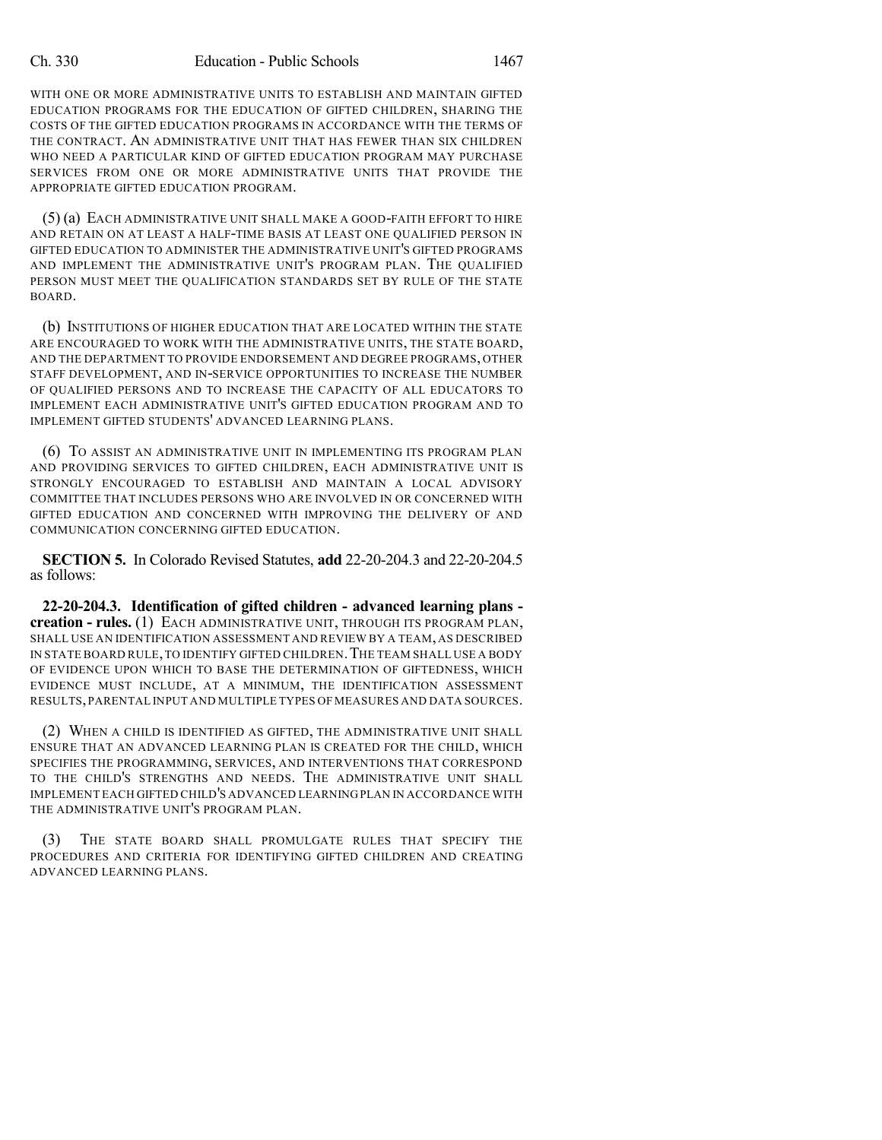WITH ONE OR MORE ADMINISTRATIVE UNITS TO ESTABLISH AND MAINTAIN GIFTED EDUCATION PROGRAMS FOR THE EDUCATION OF GIFTED CHILDREN, SHARING THE COSTS OF THE GIFTED EDUCATION PROGRAMS IN ACCORDANCE WITH THE TERMS OF THE CONTRACT. AN ADMINISTRATIVE UNIT THAT HAS FEWER THAN SIX CHILDREN WHO NEED A PARTICULAR KIND OF GIFTED EDUCATION PROGRAM MAY PURCHASE SERVICES FROM ONE OR MORE ADMINISTRATIVE UNITS THAT PROVIDE THE APPROPRIATE GIFTED EDUCATION PROGRAM.

(5) (a) EACH ADMINISTRATIVE UNIT SHALL MAKE A GOOD-FAITH EFFORT TO HIRE AND RETAIN ON AT LEAST A HALF-TIME BASIS AT LEAST ONE QUALIFIED PERSON IN GIFTED EDUCATION TO ADMINISTER THE ADMINISTRATIVE UNIT'S GIFTED PROGRAMS AND IMPLEMENT THE ADMINISTRATIVE UNIT'S PROGRAM PLAN. THE QUALIFIED PERSON MUST MEET THE QUALIFICATION STANDARDS SET BY RULE OF THE STATE BOARD.

(b) INSTITUTIONS OF HIGHER EDUCATION THAT ARE LOCATED WITHIN THE STATE ARE ENCOURAGED TO WORK WITH THE ADMINISTRATIVE UNITS, THE STATE BOARD, AND THE DEPARTMENT TO PROVIDE ENDORSEMENT AND DEGREE PROGRAMS, OTHER STAFF DEVELOPMENT, AND IN-SERVICE OPPORTUNITIES TO INCREASE THE NUMBER OF QUALIFIED PERSONS AND TO INCREASE THE CAPACITY OF ALL EDUCATORS TO IMPLEMENT EACH ADMINISTRATIVE UNIT'S GIFTED EDUCATION PROGRAM AND TO IMPLEMENT GIFTED STUDENTS' ADVANCED LEARNING PLANS.

(6) TO ASSIST AN ADMINISTRATIVE UNIT IN IMPLEMENTING ITS PROGRAM PLAN AND PROVIDING SERVICES TO GIFTED CHILDREN, EACH ADMINISTRATIVE UNIT IS STRONGLY ENCOURAGED TO ESTABLISH AND MAINTAIN A LOCAL ADVISORY COMMITTEE THAT INCLUDES PERSONS WHO ARE INVOLVED IN OR CONCERNED WITH GIFTED EDUCATION AND CONCERNED WITH IMPROVING THE DELIVERY OF AND COMMUNICATION CONCERNING GIFTED EDUCATION.

**SECTION 5.** In Colorado Revised Statutes, **add** 22-20-204.3 and 22-20-204.5 as follows:

**22-20-204.3. Identification of gifted children - advanced learning plans creation - rules.** (1) EACH ADMINISTRATIVE UNIT, THROUGH ITS PROGRAM PLAN, SHALL USE AN IDENTIFICATION ASSESSMENT AND REVIEW BY A TEAM, AS DESCRIBED IN STATE BOARD RULE,TO IDENTIFY GIFTED CHILDREN.THE TEAM SHALL USE A BODY OF EVIDENCE UPON WHICH TO BASE THE DETERMINATION OF GIFTEDNESS, WHICH EVIDENCE MUST INCLUDE, AT A MINIMUM, THE IDENTIFICATION ASSESSMENT RESULTS,PARENTAL INPUT AND MULTIPLE TYPES OF MEASURES AND DATA SOURCES.

(2) WHEN A CHILD IS IDENTIFIED AS GIFTED, THE ADMINISTRATIVE UNIT SHALL ENSURE THAT AN ADVANCED LEARNING PLAN IS CREATED FOR THE CHILD, WHICH SPECIFIES THE PROGRAMMING, SERVICES, AND INTERVENTIONS THAT CORRESPOND TO THE CHILD'S STRENGTHS AND NEEDS. THE ADMINISTRATIVE UNIT SHALL IMPLEMENT EACH GIFTED CHILD'S ADVANCED LEARNINGPLAN IN ACCORDANCE WITH THE ADMINISTRATIVE UNIT'S PROGRAM PLAN.

(3) THE STATE BOARD SHALL PROMULGATE RULES THAT SPECIFY THE PROCEDURES AND CRITERIA FOR IDENTIFYING GIFTED CHILDREN AND CREATING ADVANCED LEARNING PLANS.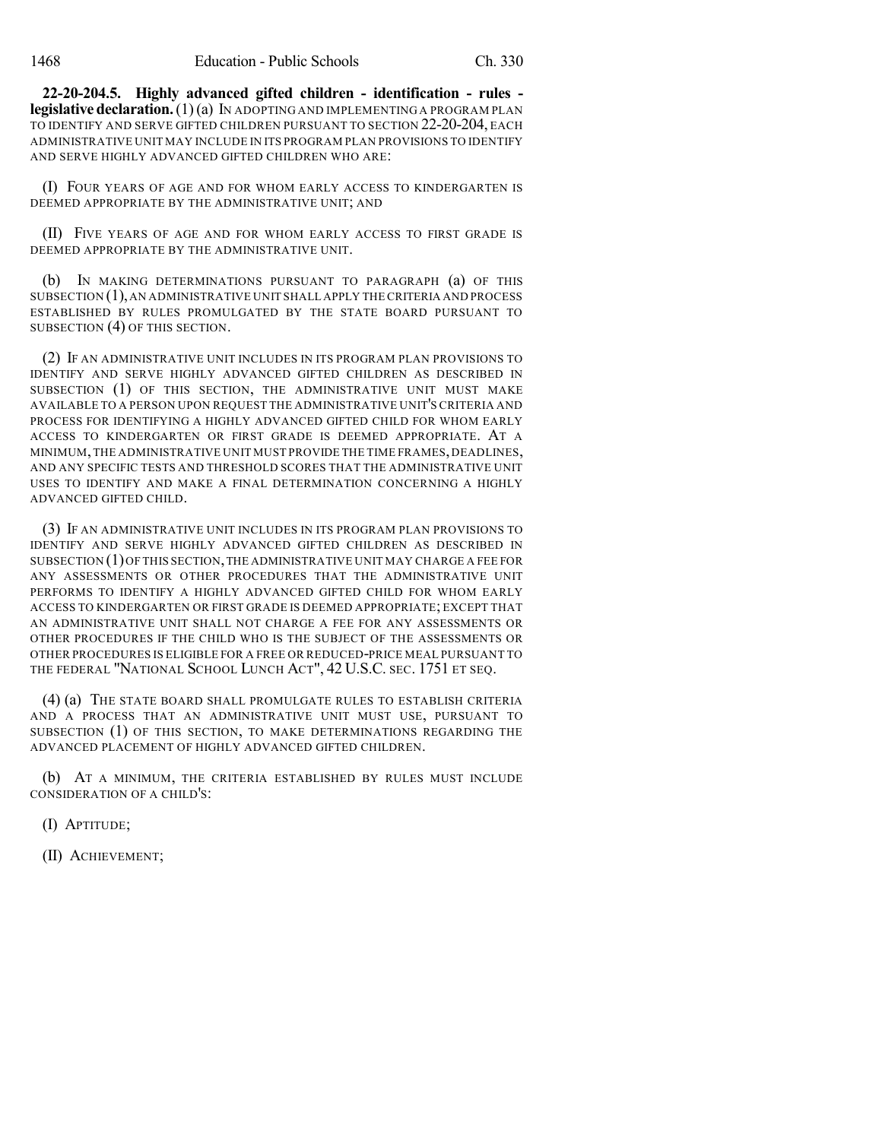**22-20-204.5. Highly advanced gifted children - identification - rules legislative declaration.**(1)(a) IN ADOPTING AND IMPLEMENTING A PROGRAM PLAN TO IDENTIFY AND SERVE GIFTED CHILDREN PURSUANT TO SECTION 22-20-204, EACH ADMINISTRATIVE UNIT MAY INCLUDE IN ITS PROGRAM PLAN PROVISIONS TO IDENTIFY AND SERVE HIGHLY ADVANCED GIFTED CHILDREN WHO ARE:

(I) FOUR YEARS OF AGE AND FOR WHOM EARLY ACCESS TO KINDERGARTEN IS DEEMED APPROPRIATE BY THE ADMINISTRATIVE UNIT; AND

(II) FIVE YEARS OF AGE AND FOR WHOM EARLY ACCESS TO FIRST GRADE IS DEEMED APPROPRIATE BY THE ADMINISTRATIVE UNIT.

(b) IN MAKING DETERMINATIONS PURSUANT TO PARAGRAPH (a) OF THIS SUBSECTION  $(1)$ , AN ADMINISTRATIVE UNIT SHALL APPLY THE CRITERIA AND PROCESS ESTABLISHED BY RULES PROMULGATED BY THE STATE BOARD PURSUANT TO SUBSECTION (4) OF THIS SECTION.

(2) IF AN ADMINISTRATIVE UNIT INCLUDES IN ITS PROGRAM PLAN PROVISIONS TO IDENTIFY AND SERVE HIGHLY ADVANCED GIFTED CHILDREN AS DESCRIBED IN SUBSECTION (1) OF THIS SECTION, THE ADMINISTRATIVE UNIT MUST MAKE AVAILABLE TO A PERSON UPON REQUEST THE ADMINISTRATIVE UNIT'S CRITERIA AND PROCESS FOR IDENTIFYING A HIGHLY ADVANCED GIFTED CHILD FOR WHOM EARLY ACCESS TO KINDERGARTEN OR FIRST GRADE IS DEEMED APPROPRIATE. AT A MINIMUM, THE ADMINISTRATIVE UNIT MUST PROVIDE THE TIME FRAMES, DEADLINES, AND ANY SPECIFIC TESTS AND THRESHOLD SCORES THAT THE ADMINISTRATIVE UNIT USES TO IDENTIFY AND MAKE A FINAL DETERMINATION CONCERNING A HIGHLY ADVANCED GIFTED CHILD.

(3) IF AN ADMINISTRATIVE UNIT INCLUDES IN ITS PROGRAM PLAN PROVISIONS TO IDENTIFY AND SERVE HIGHLY ADVANCED GIFTED CHILDREN AS DESCRIBED IN SUBSECTION (1)OF THIS SECTION,THE ADMINISTRATIVE UNIT MAY CHARGE A FEE FOR ANY ASSESSMENTS OR OTHER PROCEDURES THAT THE ADMINISTRATIVE UNIT PERFORMS TO IDENTIFY A HIGHLY ADVANCED GIFTED CHILD FOR WHOM EARLY ACCESS TO KINDERGARTEN OR FIRST GRADE IS DEEMED APPROPRIATE; EXCEPT THAT AN ADMINISTRATIVE UNIT SHALL NOT CHARGE A FEE FOR ANY ASSESSMENTS OR OTHER PROCEDURES IF THE CHILD WHO IS THE SUBJECT OF THE ASSESSMENTS OR OTHER PROCEDURES IS ELIGIBLE FOR A FREE OR REDUCED-PRICE MEAL PURSUANT TO THE FEDERAL "NATIONAL SCHOOL LUNCH ACT", 42 U.S.C. SEC. 1751 ET SEQ.

(4) (a) THE STATE BOARD SHALL PROMULGATE RULES TO ESTABLISH CRITERIA AND A PROCESS THAT AN ADMINISTRATIVE UNIT MUST USE, PURSUANT TO SUBSECTION (1) OF THIS SECTION, TO MAKE DETERMINATIONS REGARDING THE ADVANCED PLACEMENT OF HIGHLY ADVANCED GIFTED CHILDREN.

(b) AT A MINIMUM, THE CRITERIA ESTABLISHED BY RULES MUST INCLUDE CONSIDERATION OF A CHILD'S:

(I) APTITUDE;

(II) ACHIEVEMENT;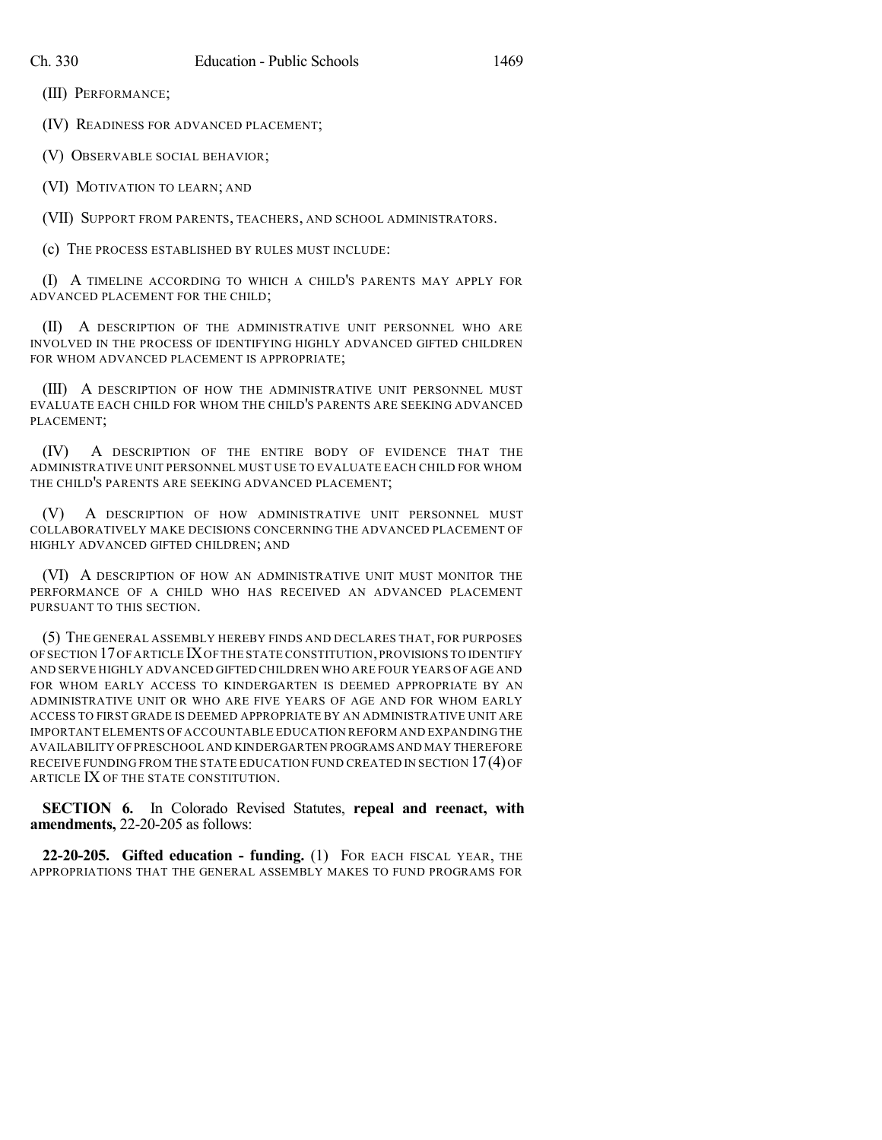(III) PERFORMANCE;

(IV) READINESS FOR ADVANCED PLACEMENT;

(V) OBSERVABLE SOCIAL BEHAVIOR;

(VI) MOTIVATION TO LEARN; AND

(VII) SUPPORT FROM PARENTS, TEACHERS, AND SCHOOL ADMINISTRATORS.

(c) THE PROCESS ESTABLISHED BY RULES MUST INCLUDE:

(I) A TIMELINE ACCORDING TO WHICH A CHILD'S PARENTS MAY APPLY FOR ADVANCED PLACEMENT FOR THE CHILD;

(II) A DESCRIPTION OF THE ADMINISTRATIVE UNIT PERSONNEL WHO ARE INVOLVED IN THE PROCESS OF IDENTIFYING HIGHLY ADVANCED GIFTED CHILDREN FOR WHOM ADVANCED PLACEMENT IS APPROPRIATE;

(III) A DESCRIPTION OF HOW THE ADMINISTRATIVE UNIT PERSONNEL MUST EVALUATE EACH CHILD FOR WHOM THE CHILD'S PARENTS ARE SEEKING ADVANCED PLACEMENT;

(IV) A DESCRIPTION OF THE ENTIRE BODY OF EVIDENCE THAT THE ADMINISTRATIVE UNIT PERSONNEL MUST USE TO EVALUATE EACH CHILD FOR WHOM THE CHILD'S PARENTS ARE SEEKING ADVANCED PLACEMENT;

(V) A DESCRIPTION OF HOW ADMINISTRATIVE UNIT PERSONNEL MUST COLLABORATIVELY MAKE DECISIONS CONCERNING THE ADVANCED PLACEMENT OF HIGHLY ADVANCED GIFTED CHILDREN; AND

(VI) A DESCRIPTION OF HOW AN ADMINISTRATIVE UNIT MUST MONITOR THE PERFORMANCE OF A CHILD WHO HAS RECEIVED AN ADVANCED PLACEMENT PURSUANT TO THIS SECTION.

(5) THE GENERAL ASSEMBLY HEREBY FINDS AND DECLARES THAT, FOR PURPOSES OF SECTION 17OF ARTICLE IXOF THE STATE CONSTITUTION,PROVISIONS TO IDENTIFY AND SERVE HIGHLY ADVANCED GIFTED CHILDREN WHO ARE FOUR YEARS OFAGE AND FOR WHOM EARLY ACCESS TO KINDERGARTEN IS DEEMED APPROPRIATE BY AN ADMINISTRATIVE UNIT OR WHO ARE FIVE YEARS OF AGE AND FOR WHOM EARLY ACCESS TO FIRST GRADE IS DEEMED APPROPRIATE BY AN ADMINISTRATIVE UNIT ARE IMPORTANT ELEMENTS OF ACCOUNTABLE EDUCATION REFORM AND EXPANDING THE AVAILABILITY OF PRESCHOOL AND KINDERGARTEN PROGRAMS AND MAY THEREFORE RECEIVE FUNDING FROM THE STATE EDUCATION FUND CREATED IN SECTION 17(4)OF ARTICLE IX OF THE STATE CONSTITUTION.

**SECTION 6.** In Colorado Revised Statutes, **repeal and reenact, with amendments,** 22-20-205 as follows:

**22-20-205. Gifted education - funding.** (1) FOR EACH FISCAL YEAR, THE APPROPRIATIONS THAT THE GENERAL ASSEMBLY MAKES TO FUND PROGRAMS FOR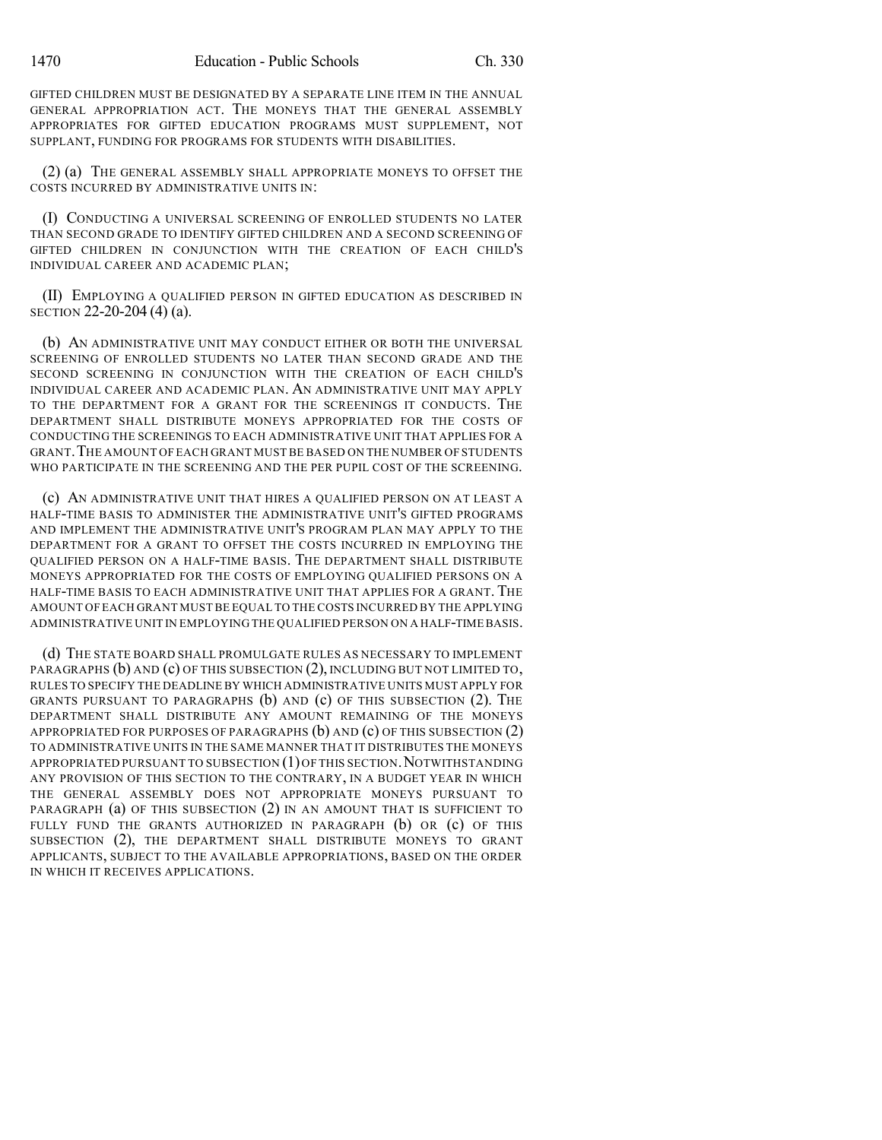GIFTED CHILDREN MUST BE DESIGNATED BY A SEPARATE LINE ITEM IN THE ANNUAL GENERAL APPROPRIATION ACT. THE MONEYS THAT THE GENERAL ASSEMBLY APPROPRIATES FOR GIFTED EDUCATION PROGRAMS MUST SUPPLEMENT, NOT SUPPLANT, FUNDING FOR PROGRAMS FOR STUDENTS WITH DISABILITIES.

(2) (a) THE GENERAL ASSEMBLY SHALL APPROPRIATE MONEYS TO OFFSET THE COSTS INCURRED BY ADMINISTRATIVE UNITS IN:

(I) CONDUCTING A UNIVERSAL SCREENING OF ENROLLED STUDENTS NO LATER THAN SECOND GRADE TO IDENTIFY GIFTED CHILDREN AND A SECOND SCREENING OF GIFTED CHILDREN IN CONJUNCTION WITH THE CREATION OF EACH CHILD'S INDIVIDUAL CAREER AND ACADEMIC PLAN;

(II) EMPLOYING A QUALIFIED PERSON IN GIFTED EDUCATION AS DESCRIBED IN SECTION 22-20-204 (4) (a).

(b) AN ADMINISTRATIVE UNIT MAY CONDUCT EITHER OR BOTH THE UNIVERSAL SCREENING OF ENROLLED STUDENTS NO LATER THAN SECOND GRADE AND THE SECOND SCREENING IN CONJUNCTION WITH THE CREATION OF EACH CHILD'S INDIVIDUAL CAREER AND ACADEMIC PLAN. AN ADMINISTRATIVE UNIT MAY APPLY TO THE DEPARTMENT FOR A GRANT FOR THE SCREENINGS IT CONDUCTS. THE DEPARTMENT SHALL DISTRIBUTE MONEYS APPROPRIATED FOR THE COSTS OF CONDUCTING THE SCREENINGS TO EACH ADMINISTRATIVE UNIT THAT APPLIES FOR A GRANT.THE AMOUNT OFEACH GRANT MUST BE BASED ON THE NUMBER OF STUDENTS WHO PARTICIPATE IN THE SCREENING AND THE PER PUPIL COST OF THE SCREENING.

(c) AN ADMINISTRATIVE UNIT THAT HIRES A QUALIFIED PERSON ON AT LEAST A HALF-TIME BASIS TO ADMINISTER THE ADMINISTRATIVE UNIT'S GIFTED PROGRAMS AND IMPLEMENT THE ADMINISTRATIVE UNIT'S PROGRAM PLAN MAY APPLY TO THE DEPARTMENT FOR A GRANT TO OFFSET THE COSTS INCURRED IN EMPLOYING THE QUALIFIED PERSON ON A HALF-TIME BASIS. THE DEPARTMENT SHALL DISTRIBUTE MONEYS APPROPRIATED FOR THE COSTS OF EMPLOYING QUALIFIED PERSONS ON A HALF-TIME BASIS TO EACH ADMINISTRATIVE UNIT THAT APPLIES FOR A GRANT. THE AMOUNT OF EACH GRANT MUST BE EQUAL TO THE COSTS INCURRED BY THE APPLYING ADMINISTRATIVE UNIT IN EMPLOYING THE QUALIFIED PERSON ON A HALF-TIMEBASIS.

(d) THE STATE BOARD SHALL PROMULGATE RULES AS NECESSARY TO IMPLEMENT PARAGRAPHS (b) AND (c) OF THIS SUBSECTION (2), INCLUDING BUT NOT LIMITED TO, RULES TO SPECIFY THE DEADLINE BY WHICH ADMINISTRATIVE UNITS MUST APPLY FOR GRANTS PURSUANT TO PARAGRAPHS  $(b)$  and  $(c)$  of this subsection  $(2)$ . The DEPARTMENT SHALL DISTRIBUTE ANY AMOUNT REMAINING OF THE MONEYS APPROPRIATED FOR PURPOSES OF PARAGRAPHS  $(b)$  AND  $(c)$  OF THIS SUBSECTION  $(2)$ TO ADMINISTRATIVE UNITS IN THE SAME MANNER THAT IT DISTRIBUTES THE MONEYS APPROPRIATED PURSUANT TO SUBSECTION  $(1)$  OF THIS SECTION. NOTWITHSTANDING ANY PROVISION OF THIS SECTION TO THE CONTRARY, IN A BUDGET YEAR IN WHICH THE GENERAL ASSEMBLY DOES NOT APPROPRIATE MONEYS PURSUANT TO PARAGRAPH (a) OF THIS SUBSECTION (2) IN AN AMOUNT THAT IS SUFFICIENT TO FULLY FUND THE GRANTS AUTHORIZED IN PARAGRAPH (b) OR (c) OF THIS SUBSECTION (2), THE DEPARTMENT SHALL DISTRIBUTE MONEYS TO GRANT APPLICANTS, SUBJECT TO THE AVAILABLE APPROPRIATIONS, BASED ON THE ORDER IN WHICH IT RECEIVES APPLICATIONS.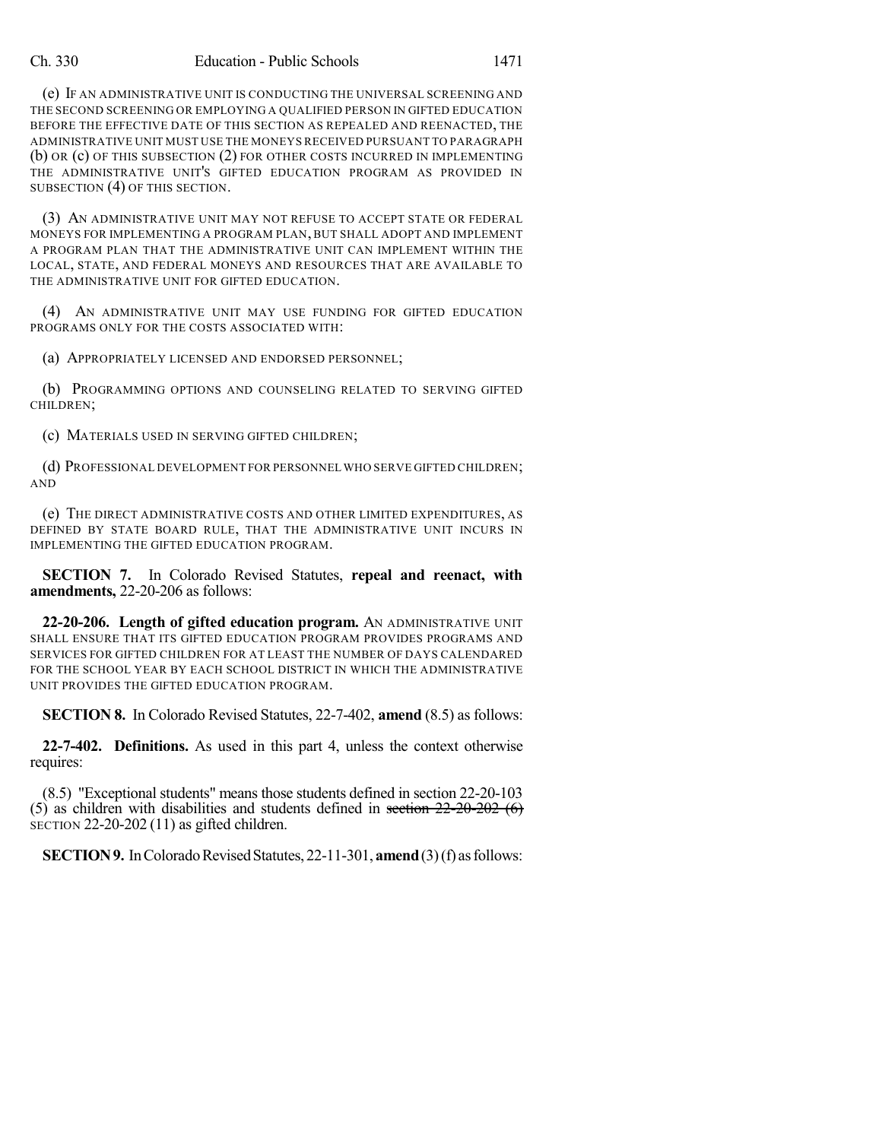(e) IF AN ADMINISTRATIVE UNIT IS CONDUCTING THE UNIVERSAL SCREENING AND THE SECOND SCREENING OR EMPLOYING A QUALIFIED PERSON IN GIFTED EDUCATION BEFORE THE EFFECTIVE DATE OF THIS SECTION AS REPEALED AND REENACTED, THE ADMINISTRATIVE UNIT MUST USE THE MONEYS RECEIVED PURSUANT TO PARAGRAPH (b) OR (c) OF THIS SUBSECTION (2) FOR OTHER COSTS INCURRED IN IMPLEMENTING THE ADMINISTRATIVE UNIT'S GIFTED EDUCATION PROGRAM AS PROVIDED IN SUBSECTION (4) OF THIS SECTION.

(3) AN ADMINISTRATIVE UNIT MAY NOT REFUSE TO ACCEPT STATE OR FEDERAL MONEYS FOR IMPLEMENTING A PROGRAM PLAN, BUT SHALL ADOPT AND IMPLEMENT A PROGRAM PLAN THAT THE ADMINISTRATIVE UNIT CAN IMPLEMENT WITHIN THE LOCAL, STATE, AND FEDERAL MONEYS AND RESOURCES THAT ARE AVAILABLE TO THE ADMINISTRATIVE UNIT FOR GIFTED EDUCATION.

(4) AN ADMINISTRATIVE UNIT MAY USE FUNDING FOR GIFTED EDUCATION PROGRAMS ONLY FOR THE COSTS ASSOCIATED WITH:

(a) APPROPRIATELY LICENSED AND ENDORSED PERSONNEL;

(b) PROGRAMMING OPTIONS AND COUNSELING RELATED TO SERVING GIFTED CHILDREN;

(c) MATERIALS USED IN SERVING GIFTED CHILDREN;

(d) PROFESSIONAL DEVELOPMENT FOR PERSONNEL WHO SERVE GIFTED CHILDREN; AND

(e) THE DIRECT ADMINISTRATIVE COSTS AND OTHER LIMITED EXPENDITURES, AS DEFINED BY STATE BOARD RULE, THAT THE ADMINISTRATIVE UNIT INCURS IN IMPLEMENTING THE GIFTED EDUCATION PROGRAM.

**SECTION 7.** In Colorado Revised Statutes, **repeal and reenact, with amendments,** 22-20-206 as follows:

**22-20-206. Length of gifted education program.** AN ADMINISTRATIVE UNIT SHALL ENSURE THAT ITS GIFTED EDUCATION PROGRAM PROVIDES PROGRAMS AND SERVICES FOR GIFTED CHILDREN FOR AT LEAST THE NUMBER OF DAYS CALENDARED FOR THE SCHOOL YEAR BY EACH SCHOOL DISTRICT IN WHICH THE ADMINISTRATIVE UNIT PROVIDES THE GIFTED EDUCATION PROGRAM.

**SECTION 8.** In Colorado Revised Statutes, 22-7-402, **amend** (8.5) as follows:

**22-7-402. Definitions.** As used in this part 4, unless the context otherwise requires:

(8.5) "Exceptional students" means those students defined in section 22-20-103 (5) as children with disabilities and students defined in section  $22\n-20\n-202$  (6) SECTION 22-20-202 (11) as gifted children.

**SECTION 9.** In Colorado Revised Statutes, 22-11-301, **amend** (3)(f) as follows: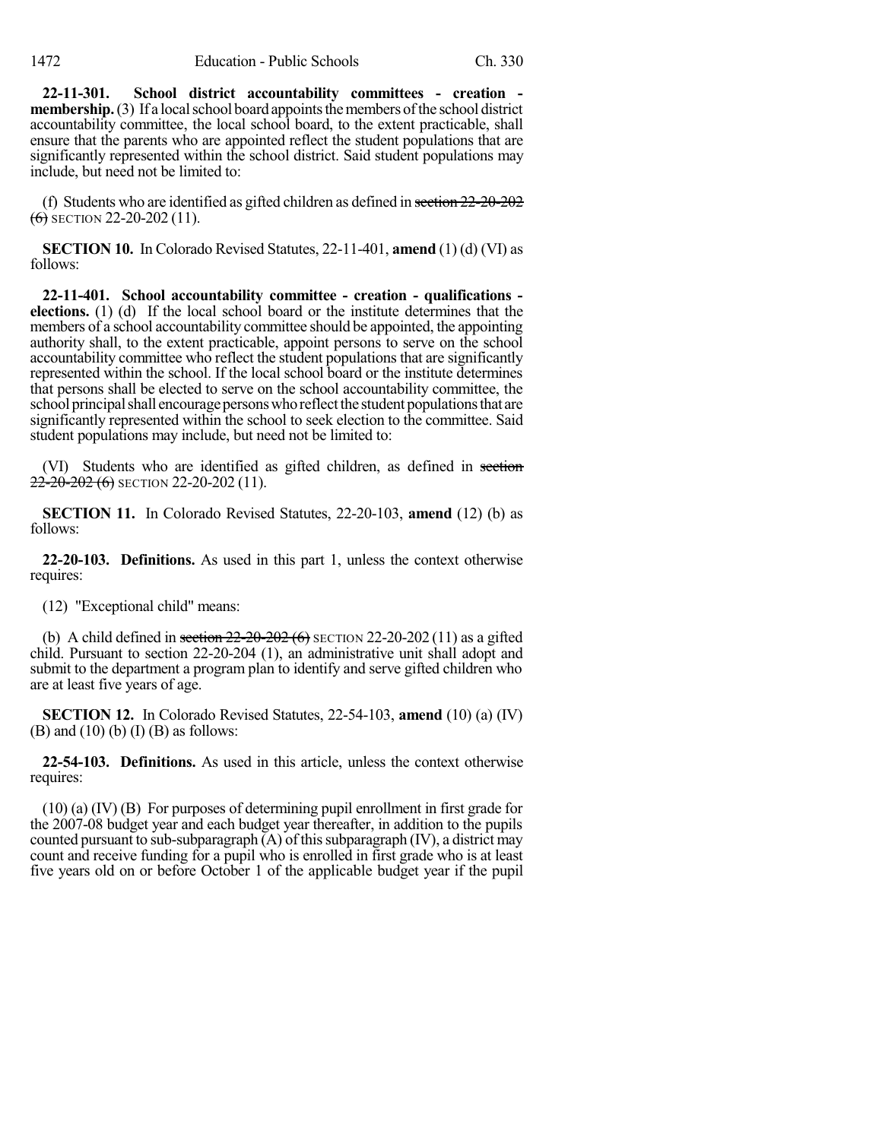**22-11-301. School district accountability committees - creation membership.** (3) If a local school board appoints the members of the school district accountability committee, the local school board, to the extent practicable, shall ensure that the parents who are appointed reflect the student populations that are significantly represented within the school district. Said student populations may include, but need not be limited to:

(f) Students who are identified as gifted children as defined in section 22-20-202  $(6)$  SECTION 22-20-202 (11).

**SECTION 10.** In Colorado Revised Statutes, 22-11-401, **amend** (1) (d) (VI) as follows:

**22-11-401. School accountability committee - creation - qualifications elections.** (1) (d) If the local school board or the institute determines that the members of a school accountability committee should be appointed, the appointing authority shall, to the extent practicable, appoint persons to serve on the school accountability committee who reflect the student populations that are significantly represented within the school. If the local school board or the institute determines that persons shall be elected to serve on the school accountability committee, the school principal shall encourage persons who reflect the student populations that are significantly represented within the school to seek election to the committee. Said student populations may include, but need not be limited to:

(VI) Students who are identified as gifted children, as defined in section 22-20-202 (6) SECTION 22-20-202 (11).

**SECTION 11.** In Colorado Revised Statutes, 22-20-103, **amend** (12) (b) as follows:

**22-20-103. Definitions.** As used in this part 1, unless the context otherwise requires:

(12) "Exceptional child" means:

(b) A child defined in section  $22-20-202$  (6) SECTION 22-20-202 (11) as a gifted child. Pursuant to section 22-20-204 (1), an administrative unit shall adopt and submit to the department a program plan to identify and serve gifted children who are at least five years of age.

**SECTION 12.** In Colorado Revised Statutes, 22-54-103, **amend** (10) (a) (IV)  $(B)$  and  $(10)$   $(b)$   $(I)$   $(B)$  as follows:

**22-54-103. Definitions.** As used in this article, unless the context otherwise requires:

(10) (a) (IV) (B) For purposes of determining pupil enrollment in first grade for the 2007-08 budget year and each budget year thereafter, in addition to the pupils counted pursuant to sub-subparagraph  $(A)$  of this subparagraph (IV), a district may count and receive funding for a pupil who is enrolled in first grade who is at least five years old on or before October 1 of the applicable budget year if the pupil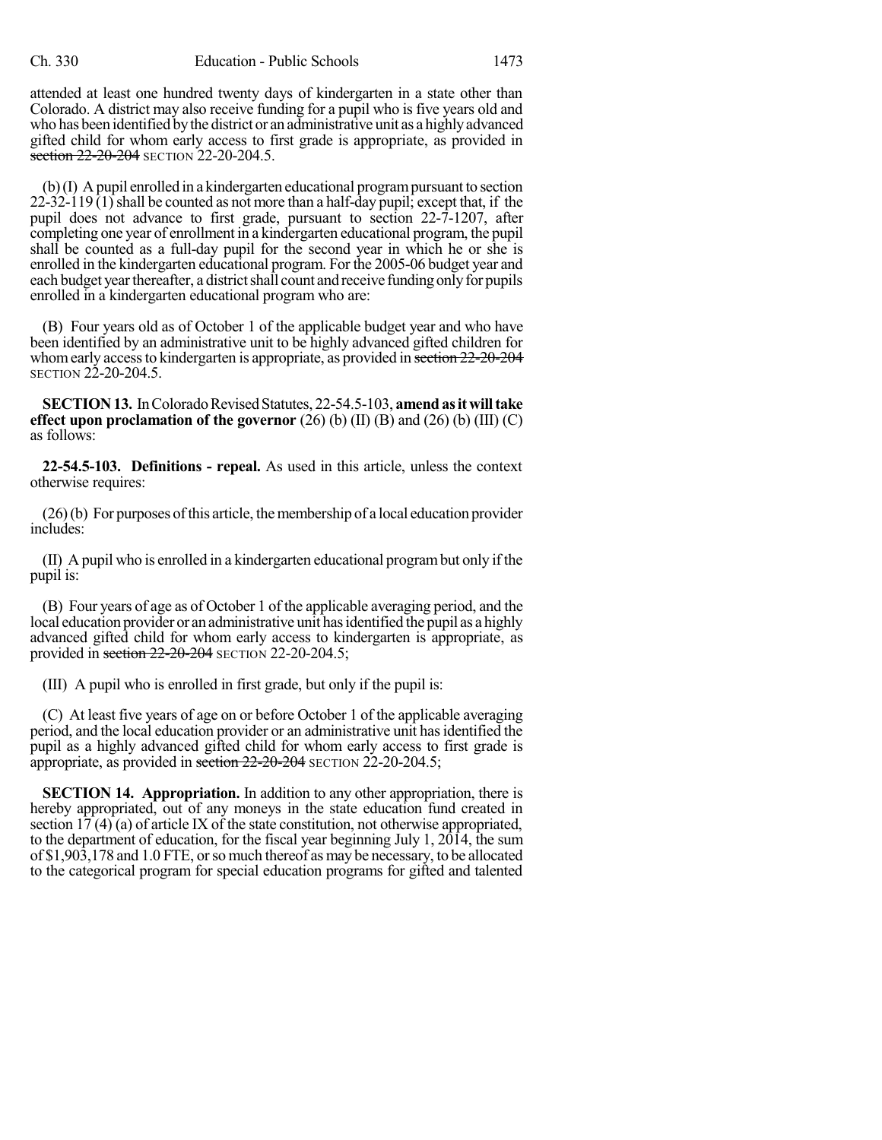attended at least one hundred twenty days of kindergarten in a state other than Colorado. A district may also receive funding for a pupil who is five years old and who has been identified bythe district or an administrative unit as a highlyadvanced gifted child for whom early access to first grade is appropriate, as provided in section 22-20-204 SECTION 22-20-204.5.

(b)(I) Apupil enrolled in a kindergarten educational programpursuant to section  $22-32-119(1)$  shall be counted as not more than a half-day pupil; except that, if the pupil does not advance to first grade, pursuant to section 22-7-1207, after completing one year of enrollment in a kindergarten educational program, the pupil shall be counted as a full-day pupil for the second year in which he or she is enrolled in the kindergarten educational program. For the 2005-06 budget year and each budget year thereafter, a district shall count and receive funding only for pupils enrolled in a kindergarten educational program who are:

(B) Four years old as of October 1 of the applicable budget year and who have been identified by an administrative unit to be highly advanced gifted children for whom early access to kindergarten is appropriate, as provided in section 22-20-204 SECTION 22-20-204.5.

**SECTION 13.** In Colorado Revised Statutes, 22-54.5-103, amend as it will take **effect upon proclamation of the governor** (26) (b) (II) (B) and (26) (b) (III) (C) as follows:

**22-54.5-103. Definitions - repeal.** As used in this article, unless the context otherwise requires:

 $(26)$ (b) For purposes of this article, the membership of a local education provider includes:

(II) A pupil who is enrolled in a kindergarten educational programbut only if the pupil is:

(B) Four years of age as of October 1 of the applicable averaging period, and the local education provider or an administrative unit has identified the pupil as a highly advanced gifted child for whom early access to kindergarten is appropriate, as provided in section 22-20-204 SECTION 22-20-204.5;

(III) A pupil who is enrolled in first grade, but only if the pupil is:

(C) At least five years of age on or before October 1 of the applicable averaging period, and the local education provider or an administrative unit hasidentified the pupil as a highly advanced gifted child for whom early access to first grade is appropriate, as provided in section 22-20-204 SECTION 22-20-204.5;

**SECTION 14. Appropriation.** In addition to any other appropriation, there is hereby appropriated, out of any moneys in the state education fund created in section 17 (4) (a) of article IX of the state constitution, not otherwise appropriated, to the department of education, for the fiscal year beginning July 1,  $20\overline{1}4$ , the sum of \$1,903,178 and 1.0 FTE, orso much thereof as may be necessary, to be allocated to the categorical program for special education programs for gifted and talented